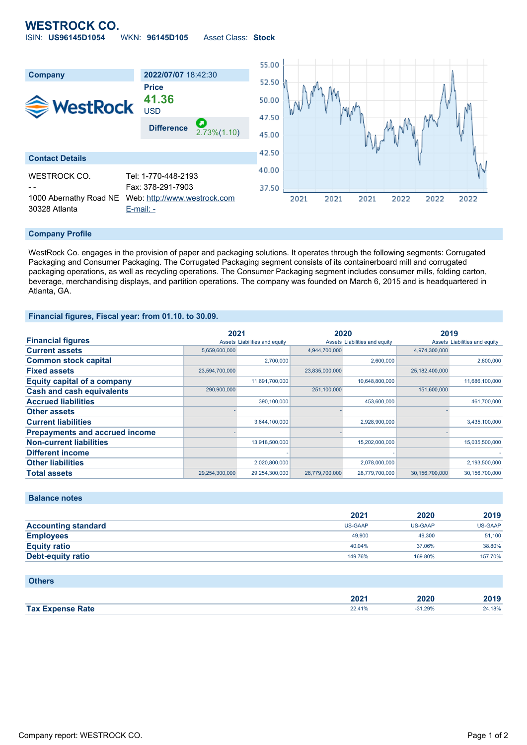## **WESTROCK CO.** ISIN: **US96145D1054** WKN: **96145D105** Asset Class: **Stock**



#### **Company Profile**

WestRock Co. engages in the provision of paper and packaging solutions. It operates through the following segments: Corrugated Packaging and Consumer Packaging. The Corrugated Packaging segment consists of its containerboard mill and corrugated packaging operations, as well as recycling operations. The Consumer Packaging segment includes consumer mills, folding carton, beverage, merchandising displays, and partition operations. The company was founded on March 6, 2015 and is headquartered in Atlanta, GA.

### **Financial figures, Fiscal year: from 01.10. to 30.09.**

|                                       | 2021           |                               | 2020           |                               | 2019           |                               |
|---------------------------------------|----------------|-------------------------------|----------------|-------------------------------|----------------|-------------------------------|
| <b>Financial figures</b>              |                | Assets Liabilities and equity |                | Assets Liabilities and equity |                | Assets Liabilities and equity |
| <b>Current assets</b>                 | 5,659,600,000  |                               | 4.944.700.000  |                               | 4,974,300,000  |                               |
| <b>Common stock capital</b>           |                | 2,700,000                     |                | 2,600,000                     |                | 2,600,000                     |
| <b>Fixed assets</b>                   | 23,594,700,000 |                               | 23,835,000,000 |                               | 25,182,400,000 |                               |
| <b>Equity capital of a company</b>    |                | 11,691,700,000                |                | 10,648,800,000                |                | 11.686.100.000                |
| <b>Cash and cash equivalents</b>      | 290,900,000    |                               | 251,100,000    |                               | 151,600,000    |                               |
| <b>Accrued liabilities</b>            |                | 390,100,000                   |                | 453,600,000                   |                | 461,700,000                   |
| <b>Other assets</b>                   |                |                               |                |                               |                |                               |
| <b>Current liabilities</b>            |                | 3,644,100,000                 |                | 2,928,900,000                 |                | 3,435,100,000                 |
| <b>Prepayments and accrued income</b> |                |                               |                |                               |                |                               |
| <b>Non-current liabilities</b>        |                | 13,918,500,000                |                | 15,202,000,000                |                | 15,035,500,000                |
| <b>Different income</b>               |                |                               |                |                               |                |                               |
| <b>Other liabilities</b>              |                | 2,020,800,000                 |                | 2,078,000,000                 |                | 2,193,500,000                 |
| <b>Total assets</b>                   | 29,254,300,000 | 29,254,300,000                | 28,779,700,000 | 28,779,700,000                | 30,156,700,000 | 30,156,700,000                |

## **Balance notes**

|                            | 2021           | 2020           | 2019    |
|----------------------------|----------------|----------------|---------|
| <b>Accounting standard</b> | <b>US-GAAP</b> | <b>US-GAAP</b> | US-GAAP |
| <b>Employees</b>           | 49,900         | 49,300         | 51,100  |
| <b>Equity ratio</b>        | 40.04%         | 37.06%         | 38.80%  |
| Debt-equity ratio          | 149.76%        | 169.80%        | 157.70% |

#### **Others**

|                         | ה ה<br>ZUZ ' | 2020 | 2019 |
|-------------------------|--------------|------|------|
| <b>Tax Expense Rate</b> | 170          | 29%  | 18%  |